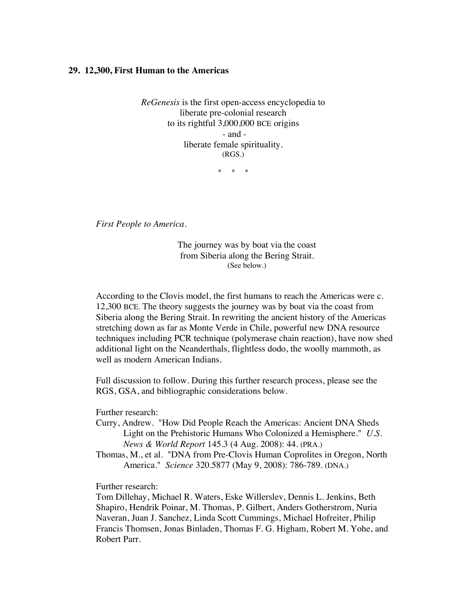## **29. 12,300, First Human to the Americas**

*ReGenesis* is the first open-access encyclopedia to liberate pre-colonial research to its rightful 3,000,000 BCE origins - and liberate female spirituality. (RGS.)

\* \* \*

*First People to America.*

The journey was by boat via the coast from Siberia along the Bering Strait. (See below.)

According to the Clovis model, the first humans to reach the Americas were c. 12,300 BCE. The theory suggests the journey was by boat via the coast from Siberia along the Bering Strait. In rewriting the ancient history of the Americas stretching down as far as Monte Verde in Chile, powerful new DNA resource techniques including PCR technique (polymerase chain reaction), have now shed additional light on the Neanderthals, flightless dodo, the woolly mammoth, as well as modern American Indians.

Full discussion to follow. During this further research process, please see the RGS, GSA, and bibliographic considerations below.

Further research:

- Curry, Andrew. "How Did People Reach the Americas: Ancient DNA Sheds Light on the Prehistoric Humans Who Colonized a Hemisphere." *U.S. News & World Report* 145.3 (4 Aug. 2008): 44. (PRA.)
- Thomas, M., et al. "DNA from Pre-Clovis Human Coprolites in Oregon, North America." *Science* 320.5877 (May 9, 2008): 786-789. (DNA.)

Further research:

Tom Dillehay, Michael R. Waters, Eske Willerslev, Dennis L. Jenkins, Beth Shapiro, Hendrik Poinar, M. Thomas, P. Gilbert, Anders Gotherstrom, Nuria Naveran, Juan J. Sanchez, Linda Scott Cummings, Michael Hofreiter, Philip Francis Thomsen, Jonas Binladen, Thomas F. G. Higham, Robert M. Yohe, and Robert Parr.